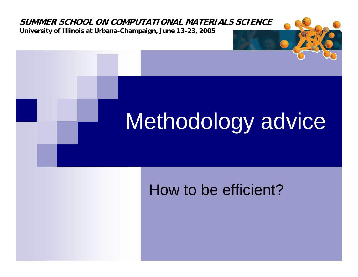

#### How to be efficient?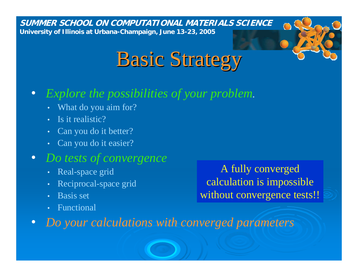

#### •*Explore the possibilities of your problem.*

- What do you aim for?
- Is it realistic?
- •Can you do it better?
- Can you do it easier?

#### $\bullet$ *Do tests of convergence*

- Real-space grid
- •Reciprocal-space grid
- •• Basis set
- •Functional

A fully converged calculation i s impossible without convergence tests!!

 $\bullet$ *Do your calculations with converged parameters*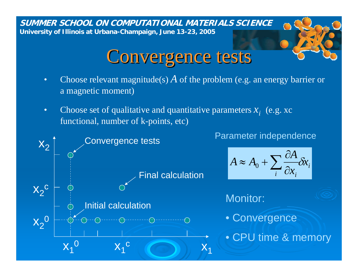### Convergence tests

• Choose relevant magnitude(s) *A* of the problem (e.g. an energy barrier or a magnetic moment)

*x*

•• Choose set of qualitative and quantitative parameters  $x_i$  (e.g. xc functional, number of k-points, etc)

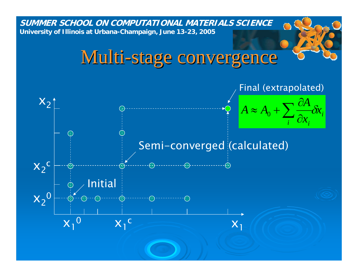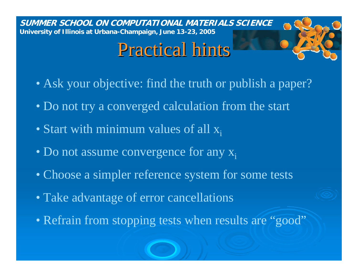# Practical hints

- Ask your objective: find the truth or publish a paper?
- Do not try a converged calculation from the start
- Start with minimum values of all  $x_i$
- Do not assume convergence for any  $x_i$
- Choose a simpler reference system for some tests
- Take advantage of error cancellations
- Refrain from stopping tests when results are "good"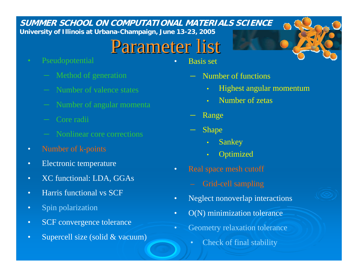## Parameter list

 $\bullet$ 

- Pseudopotential
	- Method of generation
	- Number of valence states
	- Number of angular momenta
	- Core radii
	- Nonlinear core corrections
- $\bullet$ Number of k-points
- •• Electronic temperature
- •XC functional: LDA, GGAs
- •Harris functional vs SCF
- $\bullet$ Spin polarization
- •SCF convergence tolerance
- •Supercell size (solid & vacuum)
- Basis set
	- Number of functions
		- $\bullet$ Highest angular momentum
		- •Number of zetas
	- Range
	- Shape
		- $\bullet$ Sankey
		- $\bullet$ **Optimized**
- • Real space mesh cutoff
	- Grid-cell sampling
- •Neglect nonoverlap interactions
- •O(N) minimization tolerance
- • Geometry relaxation tolerance
	- •Check of final stability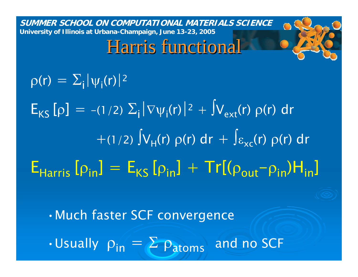### Harris functional

 $\rho(r) = \sum_{\mathsf{i}} |\psi_{\mathsf{i}}(\mathsf{r})|^2$ 

 $E_{KS}[\rho] = -(1/2) \sum_{i} |\nabla \psi_{i}(r)|^{2} + \int V_{ext}(r) \rho(r) dr$  $+(1/2)\int V_H(r) \; \rho(r) \; dr \, + \, \int_{\mathcal{E}_{\chi_{\mathsf{C}}}}(r) \; \rho(r) \; dr$  $\mathsf{E}_{\mathsf{Harris}}\left[\rho_{\mathsf{in}}\right]=\mathsf{E}_{\mathsf{KS}}\left[\rho_{\mathsf{in}}\right]+\mathsf{Tr}[(\rho_{\mathsf{out}})]$  $\mathcal{L}^{\text{max}}_{\text{max}}$  and  $\mathcal{L}^{\text{max}}_{\text{max}}$  and  $\mathcal{L}^{\text{max}}_{\text{max}}$  $-p_{\sf in}$ ) ${\sf H}_{\sf in}$ ]

•Much faster SCF convergence

 $\cdot$  Usually  $\rho_{\sf in} = \Sigma \, \rho_{\sf atoms} \,$  and no SCF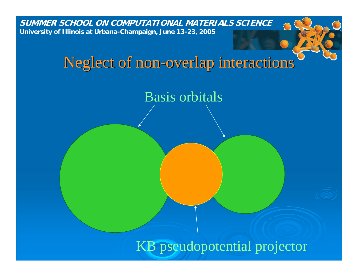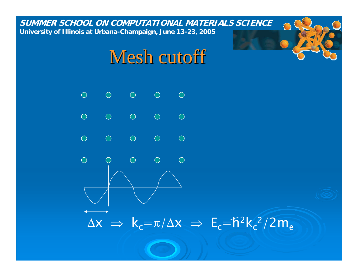#### Mesh cutoff

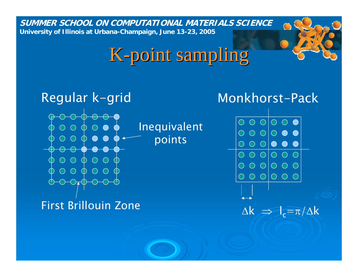# K-point sampling

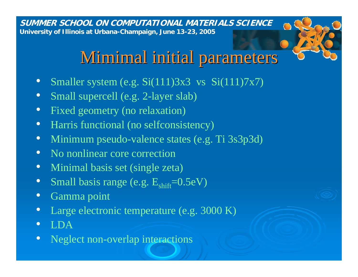#### Mimimal initial parameters

- $\bullet$ Smaller system  $\overline{(e.g. Si(111)3x3}$  vs  $Si(111)7x7)$
- •Small supercell (e.g. 2-layer slab)
- $\bullet$ • Fixed geometry (no relaxation)
- •Harris functional (no selfconsistency)
- •Minimum pseudo-valence states (e.g. Ti 3s3p3d)
- $\bullet$ • No nonlinear core correction
- $\bullet$ • Minimal basis set (single zeta)
- •Small basis range (e.g.  $E_{\text{shift}}$ =0.5eV)
- $\bullet$ Gamma point
- $\bullet$ Large electronic temperature (e.g. 3000 K)
- •LDA
- $\bullet$ Neglect non-overlap interactions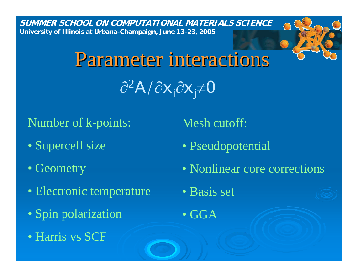# Parameter interactions ∂<sup>2</sup>A/∂x<sub>i</sub>∂x<sub>j</sub>≠0

Number of k-points:

- Supercell size
- $\bullet$  Geometry
- Electronic temperature
- Spin polarization
- Harris vs SCF

Mesh cutoff:

- Pseudopotential
- Nonlinear core corrections
- •Basis set
- GGA